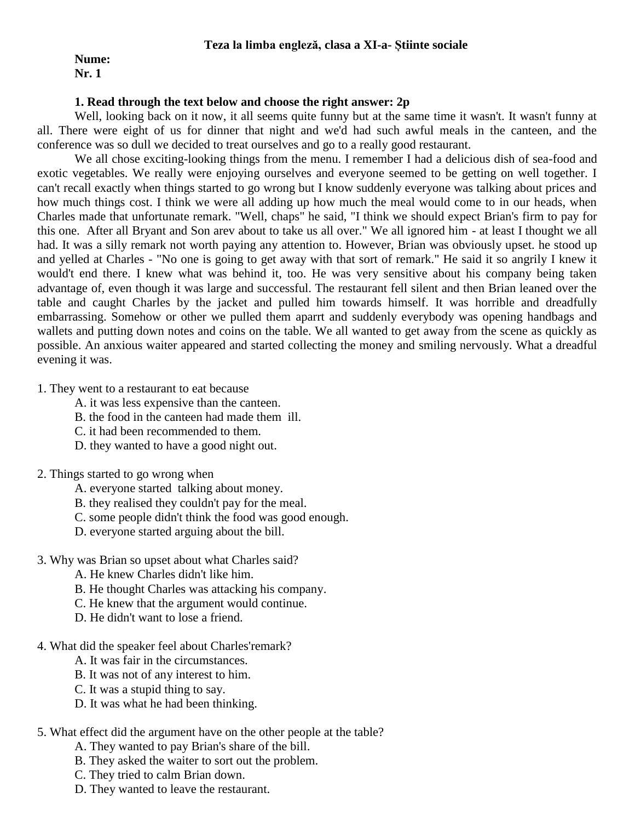#### **Teza la limba engleză, clasa a XI-a- Știinte sociale**

#### **Nume: Nr. 1**

#### **1. Read through the text below and choose the right answer: 2p**

Well, looking back on it now, it all seems quite funny but at the same time it wasn't. It wasn't funny at all. There were eight of us for dinner that night and we'd had such awful meals in the canteen, and the conference was so dull we decided to treat ourselves and go to a really good restaurant.

We all chose exciting-looking things from the menu. I remember I had a delicious dish of sea-food and exotic vegetables. We really were enjoying ourselves and everyone seemed to be getting on well together. I can't recall exactly when things started to go wrong but I know suddenly everyone was talking about prices and how much things cost. I think we were all adding up how much the meal would come to in our heads, when Charles made that unfortunate remark. "Well, chaps" he said, "I think we should expect Brian's firm to pay for this one. After all Bryant and Son arev about to take us all over." We all ignored him - at least I thought we all had. It was a silly remark not worth paying any attention to. However, Brian was obviously upset. he stood up and yelled at Charles - "No one is going to get away with that sort of remark." He said it so angrily I knew it would't end there. I knew what was behind it, too. He was very sensitive about his company being taken advantage of, even though it was large and successful. The restaurant fell silent and then Brian leaned over the table and caught Charles by the jacket and pulled him towards himself. It was horrible and dreadfully embarrassing. Somehow or other we pulled them aparrt and suddenly everybody was opening handbags and wallets and putting down notes and coins on the table. We all wanted to get away from the scene as quickly as possible. An anxious waiter appeared and started collecting the money and smiling nervously. What a dreadful evening it was.

1. They went to a restaurant to eat because

- A. it was less expensive than the canteen.
- B. the food in the canteen had made them ill.
- C. it had been recommended to them.
- D. they wanted to have a good night out.
- 2. Things started to go wrong when
	- A. everyone started talking about money.
	- B. they realised they couldn't pay for the meal.
	- C. some people didn't think the food was good enough.
	- D. everyone started arguing about the bill.
- 3. Why was Brian so upset about what Charles said?
	- A. He knew Charles didn't like him.
	- B. He thought Charles was attacking his company.
	- C. He knew that the argument would continue.
	- D. He didn't want to lose a friend.
- 4. What did the speaker feel about Charles'remark?
	- A. It was fair in the circumstances.
	- B. It was not of any interest to him.
	- C. It was a stupid thing to say.
	- D. It was what he had been thinking.
- 5. What effect did the argument have on the other people at the table?
	- A. They wanted to pay Brian's share of the bill.
	- B. They asked the waiter to sort out the problem.
	- C. They tried to calm Brian down.
	- D. They wanted to leave the restaurant.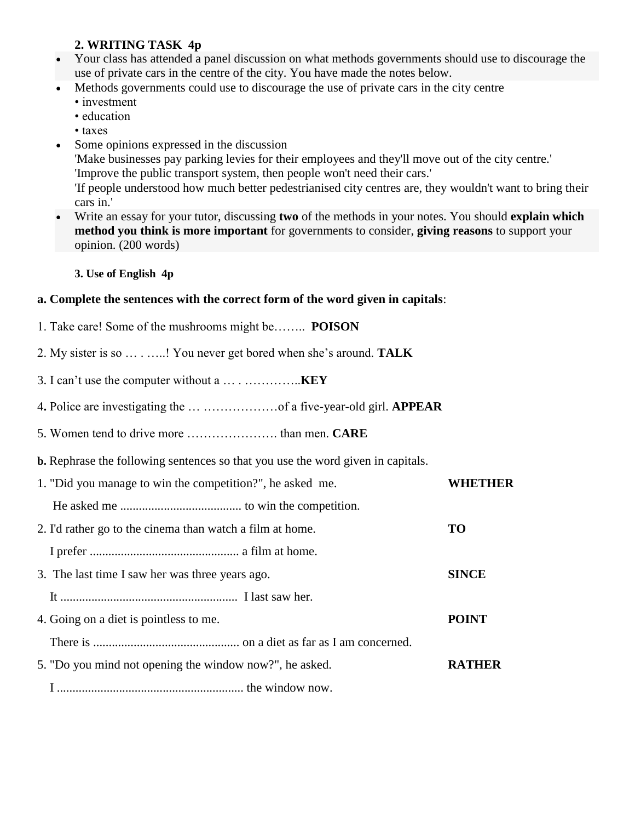# **2. WRITING TASK 4p**

- Your class has attended a panel discussion on what methods governments should use to discourage the use of private cars in the centre of the city. You have made the notes below.
- Methods governments could use to discourage the use of private cars in the city centre
	- investment
	- education
	- taxes
- Some opinions expressed in the discussion

'Make businesses pay parking levies for their employees and they'll move out of the city centre.' 'Improve the public transport system, then people won't need their cars.'

'If people understood how much better pedestrianised city centres are, they wouldn't want to bring their cars in.'

 Write an essay for your tutor, discussing **two** of the methods in your notes. You should **explain which method you think is more important** for governments to consider, **giving reasons** to support your opinion. (200 words)

### **3. Use of English 4p**

### **a. Complete the sentences with the correct form of the word given in capitals**:

- 1. Take care! Some of the mushrooms might be…….. **POISON**
- 2. My sister is so … . …..! You never get bored when she's around. **TALK**
- 3. I can't use the computer without a … . …………..**KEY**
- 4**.** Police are investigating the … ………………of a five-year-old girl. **APPEAR**
- 5. Women tend to drive more …………………. than men. **CARE**
- **b.** Rephrase the following sentences so that you use the word given in capitals.

| 1. "Did you manage to win the competition?", he asked me. | WHETHER       |
|-----------------------------------------------------------|---------------|
|                                                           |               |
| 2. I'd rather go to the cinema than watch a film at home. | <b>TO</b>     |
|                                                           |               |
| 3. The last time I saw her was three years ago.           | <b>SINCE</b>  |
|                                                           |               |
| 4. Going on a diet is pointless to me.                    | <b>POINT</b>  |
|                                                           |               |
| 5. "Do you mind not opening the window now?", he asked.   | <b>RATHER</b> |
|                                                           |               |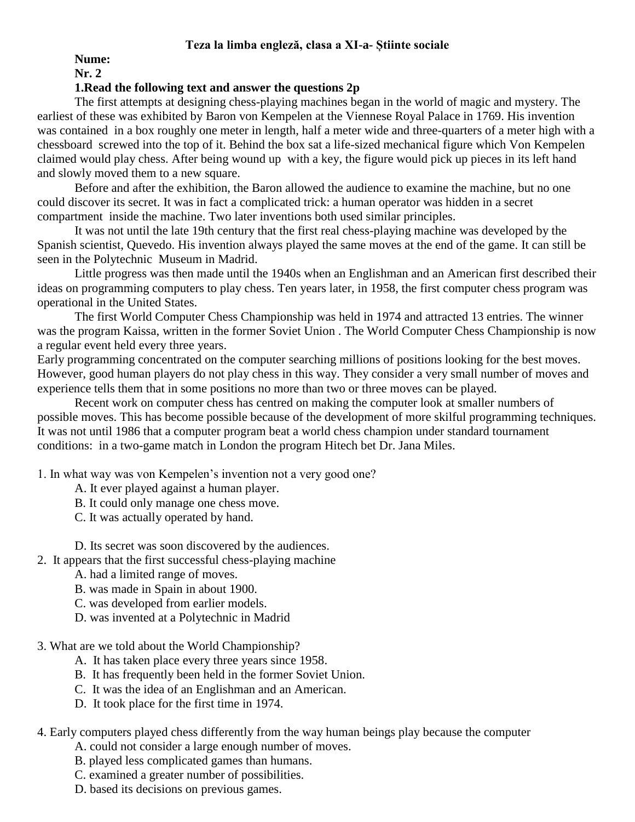### **Teza la limba engleză, clasa a XI-a- Știinte sociale**

**Nume:**

**Nr. 2**

# **1.Read the following text and answer the questions 2p**

The first attempts at designing chess-playing machines began in the world of magic and mystery. The earliest of these was exhibited by Baron von Kempelen at the Viennese Royal Palace in 1769. His invention was contained in a box roughly one meter in length, half a meter wide and three-quarters of a meter high with a chessboard screwed into the top of it. Behind the box sat a life-sized mechanical figure which Von Kempelen claimed would play chess. After being wound up with a key, the figure would pick up pieces in its left hand and slowly moved them to a new square.

Before and after the exhibition, the Baron allowed the audience to examine the machine, but no one could discover its secret. It was in fact a complicated trick: a human operator was hidden in a secret compartment inside the machine. Two later inventions both used similar principles.

It was not until the late 19th century that the first real chess-playing machine was developed by the Spanish scientist, Quevedo. His invention always played the same moves at the end of the game. It can still be seen in the Polytechnic Museum in Madrid.

Little progress was then made until the 1940s when an Englishman and an American first described their ideas on programming computers to play chess. Ten years later, in 1958, the first computer chess program was operational in the United States.

The first World Computer Chess Championship was held in 1974 and attracted 13 entries. The winner was the program Kaissa, written in the former Soviet Union . The World Computer Chess Championship is now a regular event held every three years.

Early programming concentrated on the computer searching millions of positions looking for the best moves. However, good human players do not play chess in this way. They consider a very small number of moves and experience tells them that in some positions no more than two or three moves can be played.

Recent work on computer chess has centred on making the computer look at smaller numbers of possible moves. This has become possible because of the development of more skilful programming techniques. It was not until 1986 that a computer program beat a world chess champion under standard tournament conditions: in a two-game match in London the program Hitech bet Dr. Jana Miles.

1. In what way was von Kempelen's invention not a very good one?

- A. It ever played against a human player.
- B. It could only manage one chess move.
- C. It was actually operated by hand.
- D. Its secret was soon discovered by the audiences.
- 2. It appears that the first successful chess-playing machine
	- A. had a limited range of moves.
	- B. was made in Spain in about 1900.
	- C. was developed from earlier models.
	- D. was invented at a Polytechnic in Madrid
- 3. What are we told about the World Championship?
	- A. It has taken place every three years since 1958.
	- B. It has frequently been held in the former Soviet Union.
	- C. It was the idea of an Englishman and an American.
	- D. It took place for the first time in 1974.

# 4. Early computers played chess differently from the way human beings play because the computer

- A. could not consider a large enough number of moves.
- B. played less complicated games than humans.
- C. examined a greater number of possibilities.
- D. based its decisions on previous games.